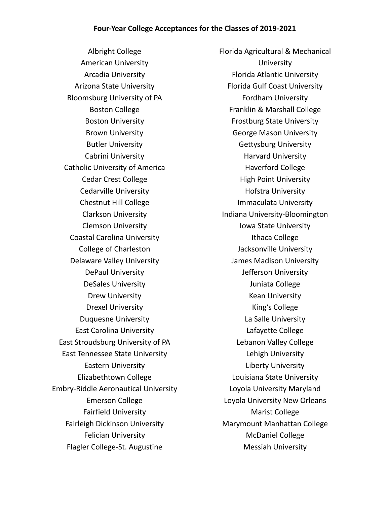Albright College American University Arcadia University Arizona State University Bloomsburg University of PA Boston College Boston University Brown University Butler University Cabrini University Catholic University of America Cedar Crest College Cedarville University Chestnut Hill College Clarkson University Clemson University Coastal Carolina University College of Charleston Delaware Valley University DePaul University DeSales University Drew University Drexel University Duquesne University East Carolina University East Stroudsburg University of PA East Tennessee State University Eastern University Elizabethtown College Embry-Riddle Aeronautical University Emerson College Fairfield University Fairleigh Dickinson University Felician University Flagler College-St. Augustine

Florida Agricultural & Mechanical **University** Florida Atlantic University Florida Gulf Coast University Fordham University Franklin & Marshall College Frostburg State University George Mason University Gettysburg University Harvard University Haverford College High Point University Hofstra University Immaculata University Indiana University-Bloomington Iowa State University Ithaca College Jacksonville University James Madison University Jefferson University Juniata College Kean University King's College La Salle University Lafayette College Lebanon Valley College Lehigh University Liberty University Louisiana State University Loyola University Maryland Loyola University New Orleans Marist College Marymount Manhattan College McDaniel College Messiah University